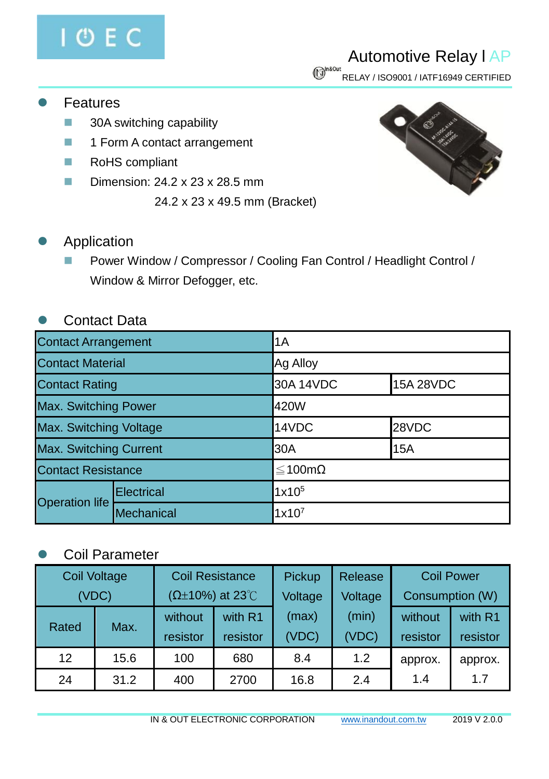# **OEC**

## Automotive Relay l AP

 $\bigcirc$ <sup>n&0ut</sup><br>RELAY / ISO9001 / IATF16949 CERTIFIED

- **Features** 
	- 30A switching capability
	- 1 Form A contact arrangement
	- RoHS compliant
	- Dimension: 24.2 x 23 x 28.5 mm
		- 24.2 x 23 x 49.5 mm (Bracket)



#### **Application**

■ Power Window / Compressor / Cooling Fan Control / Headlight Control / Window & Mirror Defogger, etc.

#### ⚫ Contact Data

| <b>Contact Arrangement</b>    |            | 1A                |                  |  |
|-------------------------------|------------|-------------------|------------------|--|
| <b>Contact Material</b>       | Ag Alloy   |                   |                  |  |
| <b>Contact Rating</b>         |            | 30A 14VDC         | <b>15A 28VDC</b> |  |
| Max. Switching Power          |            | 420W              |                  |  |
| <b>Max. Switching Voltage</b> |            | 14VDC<br>28VDC    |                  |  |
| <b>Max. Switching Current</b> |            | l30A<br>15A       |                  |  |
| <b>Contact Resistance</b>     |            | ≤100mΩ            |                  |  |
| <b>Operation life</b>         | Electrical | 1x10 <sup>5</sup> |                  |  |
|                               | Mechanical | $1x10^7$          |                  |  |

### ⚫ Coil Parameter

| Coil Voltage<br>(VDC) |      | <b>Coil Resistance</b><br>$(\Omega \pm 10\%)$ at 23°C |                     | Pickup<br>Voltage | Release<br>Voltage | <b>Coil Power</b><br>Consumption (W) |                     |
|-----------------------|------|-------------------------------------------------------|---------------------|-------------------|--------------------|--------------------------------------|---------------------|
| Rated                 | Max. | without<br>resistor                                   | with R1<br>resistor | (max)<br>(VDC)    | (min)<br>(VDC)     | without<br>resistor                  | with R1<br>resistor |
| 12                    | 15.6 | 100                                                   | 680                 | 8.4               | 1.2                | approx.                              | approx.             |
| 24                    | 31.2 | 400                                                   | 2700                | 16.8              | 2.4                | 1.4                                  | 1.7                 |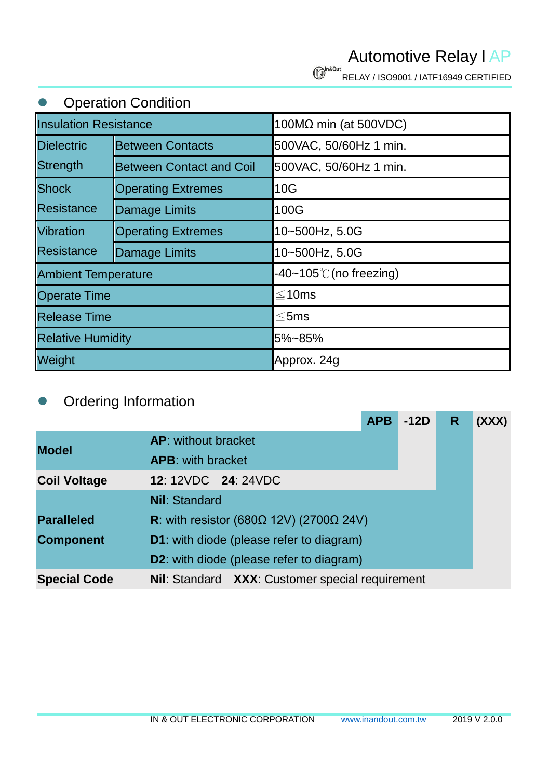Automotive Relay l AP

RELAY / ISO9001 / IATF16949 CERTIFIED

| <b>Operation Condition</b>   |                                                                 |                        |  |  |  |
|------------------------------|-----------------------------------------------------------------|------------------------|--|--|--|
| <b>Insulation Resistance</b> |                                                                 | 100MΩ min (at 500VDC)  |  |  |  |
| <b>Dielectric</b>            | <b>Between Contacts</b>                                         | 500VAC, 50/60Hz 1 min. |  |  |  |
| Strength                     | <b>Between Contact and Coil</b>                                 | 500VAC, 50/60Hz 1 min. |  |  |  |
| <b>Shock</b>                 | <b>Operating Extremes</b>                                       | 10G                    |  |  |  |
| Resistance                   | Damage Limits                                                   | 100G                   |  |  |  |
| <b>Vibration</b>             | <b>Operating Extremes</b>                                       | 10~500Hz, 5.0G         |  |  |  |
| <b>Resistance</b>            | Damage Limits                                                   | 10~500Hz, 5.0G         |  |  |  |
|                              | $-40-105^{\circ}$ C (no freezing)<br><b>Ambient Temperature</b> |                        |  |  |  |
| <b>Operate Time</b>          |                                                                 | $≤10ms$                |  |  |  |
| <b>Release Time</b>          |                                                                 | ≤5ms                   |  |  |  |
| <b>Relative Humidity</b>     |                                                                 | 5%~85%                 |  |  |  |
| Weight                       |                                                                 | Approx. 24g            |  |  |  |

#### ⚫ Ordering Information

|                     |                                                         | <b>APB</b> | $-12D$ | R | (XXX) |
|---------------------|---------------------------------------------------------|------------|--------|---|-------|
| <b>Model</b>        | <b>AP:</b> without bracket                              |            |        |   |       |
|                     | <b>APB:</b> with bracket                                |            |        |   |       |
| <b>Coil Voltage</b> | <b>12: 12VDC 24: 24VDC</b>                              |            |        |   |       |
|                     | <b>Nil: Standard</b>                                    |            |        |   |       |
| <b>Paralleled</b>   | R: with resistor (680 $\Omega$ 12V) (2700 $\Omega$ 24V) |            |        |   |       |
| <b>Component</b>    | <b>D1</b> : with diode (please refer to diagram)        |            |        |   |       |
|                     | <b>D2:</b> with diode (please refer to diagram)         |            |        |   |       |
| <b>Special Code</b> | Nil: Standard XXX: Customer special requirement         |            |        |   |       |